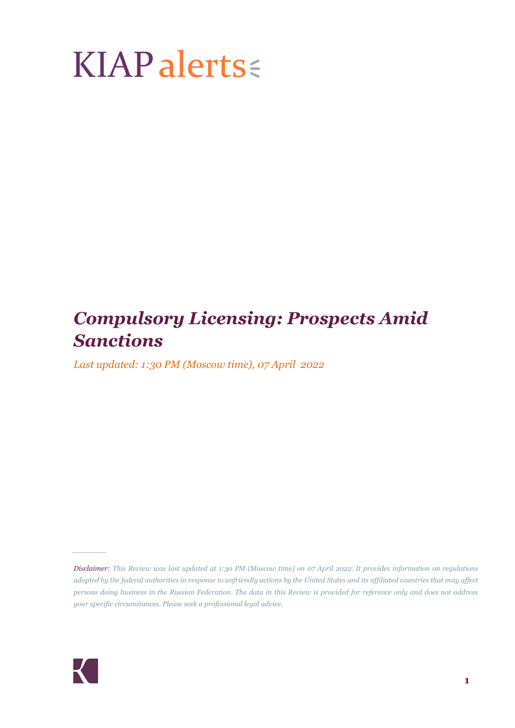## **KIAP** alerts

## *Compulsory Licensing: Prospects Amid Sanctions*

*Last updated: 1:30 PM (Moscow time), 07 April 2022* 



*\_\_\_\_\_*

*Disclaimer: This Review was last updated at 1:30 PM (Moscow time) on 07 April 2022. It provides information on regulations adopted by the federal authorities in response to unfriendly actions by the United States and its affiliated countries that may affect persons doing business in the Russian Federation. The data in this Review is provided for reference only and does not address your specific circumstances. Please seek a professional legal advice.*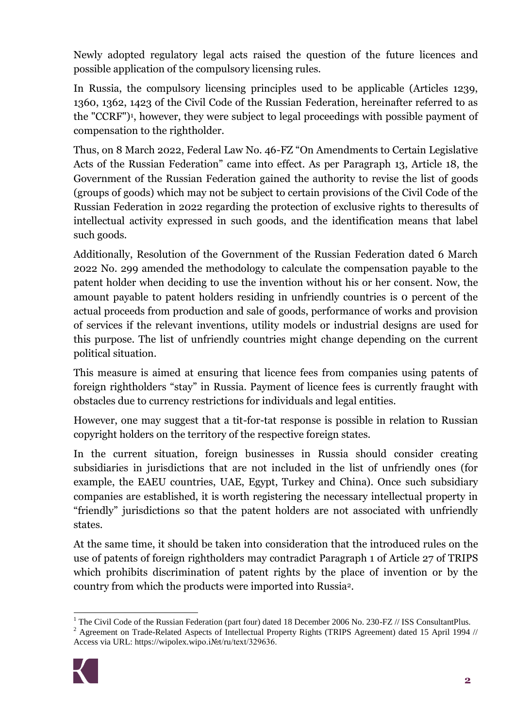Newly adopted regulatory legal acts raised the question of the future licences and possible application of the compulsory licensing rules.

In Russia, the compulsory licensing principles used to be applicable (Articles 1239, 1360, 1362, 1423 of the Civil Code of the Russian Federation, hereinafter referred to as the "CCRF")<sup>1</sup> , however, they were subject to legal proceedings with possible payment of compensation to the rightholder.

Thus, on 8 March 2022, Federal Law No. 46-FZ "On Amendments to Certain Legislative Acts of the Russian Federation" came into effect. As per Paragraph 13, Article 18, the Government of the Russian Federation gained the authority to revise the list of goods (groups of goods) which may not be subject to certain provisions of the Civil Code of the Russian Federation in 2022 regarding the protection of exclusive rights to theresults of intellectual activity expressed in such goods, and the identification means that label such goods.

Additionally, Resolution of the Government of the Russian Federation dated 6 March 2022 No. 299 amended the methodology to calculate the compensation payable to the patent holder when deciding to use the invention without his or her consent. Now, the amount payable to patent holders residing in unfriendly countries is 0 percent of the actual proceeds from production and sale of goods, performance of works and provision of services if the relevant inventions, utility models or industrial designs are used for this purpose. The list of unfriendly countries might change depending on the current political situation.

This measure is aimed at ensuring that licence fees from companies using patents of foreign rightholders "stay" in Russia. Payment of licence fees is currently fraught with obstacles due to currency restrictions for individuals and legal entities.

However, one may suggest that a tit-for-tat response is possible in relation to Russian copyright holders on the territory of the respective foreign states.

In the current situation, foreign businesses in Russia should consider creating subsidiaries in jurisdictions that are not included in the list of unfriendly ones (for example, the EAEU countries, UAE, Egypt, Turkey and China). Once such subsidiary companies are established, it is worth registering the necessary intellectual property in "friendly" jurisdictions so that the patent holders are not associated with unfriendly states.

At the same time, it should be taken into consideration that the introduced rules on the use of patents of foreign rightholders may contradict Paragraph 1 of Article 27 of TRIPS which prohibits discrimination of patent rights by the place of invention or by the country from which the products were imported into Russia2.

<sup>&</sup>lt;sup>2</sup> Agreement on Trade-Related Aspects of Intellectual Property Rights (TRIPS Agreement) dated 15 April 1994 // Access via URL: https://wipolex.wipo.i№t/ru/text/329636.



**<sup>.</sup>** <sup>1</sup> The Civil Code of the Russian Federation (part four) dated 18 December 2006 No. 230-FZ // ISS ConsultantPlus.